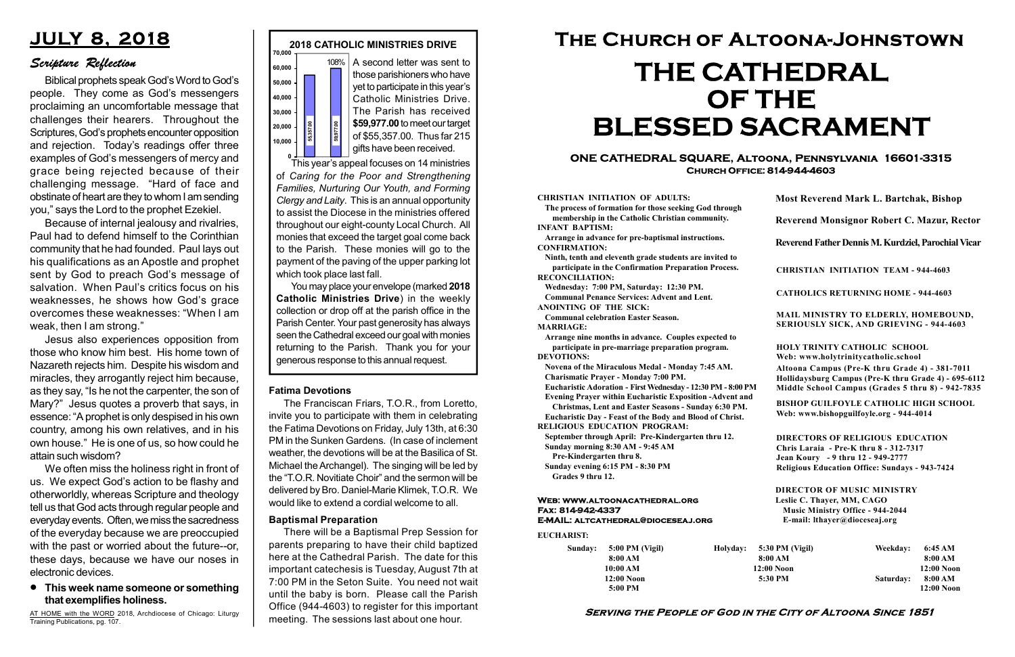#### Serving the People of God in the City of Altoona Since 1851

Sunday: 5:00 PM (Vigil) 8:00 AM 10:00 AM 12:00 Noon 5:00 PM

Holyday:

#### Web: www.altoonacathedral.org Fax: 814-942-4337 E-MAIL: altcathedral@dioceseaj.org

EUCHARIST:

#### CHRISTIAN INITIATION OF ADULTS:

The process of formation for those seeking God through membership in the Catholic Christian community. INFANT BAPTISM:

Arrange in advance for pre-baptismal instructions. CONFIRMATION:

Ninth, tenth and eleventh grade students are invited to participate in the Confirmation Preparation Process. RECONCILIATION:

Wednesday: 7:00 PM, Saturday: 12:30 PM. Communal Penance Services: Advent and Lent. ANOINTING OF THE SICK:

Communal celebration Easter Season.

MARRIAGE:

Arrange nine months in advance. Couples expected to participate in pre-marriage preparation program. DEVOTIONS:

Novena of the Miraculous Medal - Monday 7:45 AM. Charismatic Prayer - Monday 7:00 PM.

Eucharistic Adoration - First Wednesday - 12:30 PM - 8:00 PM

Evening Prayer within Eucharistic Exposition -Advent and

Christmas, Lent and Easter Seasons - Sunday 6:30 PM. Eucharistic Day - Feast of the Body and Blood of Christ.

|                       | <b>Most Reverend Mark L. Bartchak, Bishop</b><br>Reverend Monsignor Robert C. Mazur, Rector                                                                                     |           |                         |
|-----------------------|---------------------------------------------------------------------------------------------------------------------------------------------------------------------------------|-----------|-------------------------|
|                       |                                                                                                                                                                                 |           |                         |
|                       | Reverend Father Dennis M. Kurdziel, Parochial Vicar                                                                                                                             |           |                         |
|                       | <b>CHRISTIAN INITIATION TEAM - 944-4603</b>                                                                                                                                     |           |                         |
|                       | <b>CATHOLICS RETURNING HOME - 944-4603</b>                                                                                                                                      |           |                         |
|                       | MAIL MINISTRY TO ELDERLY, HOMEBOUND,<br>SERIOUSLY SICK, AND GRIEVING - 944-4603                                                                                                 |           |                         |
|                       | <b>HOLY TRINITY CATHOLIC SCHOOL</b><br>Web: www.holytrinitycatholic.school                                                                                                      |           |                         |
| М                     | Altoona Campus (Pre-K thru Grade 4) - 381-7011<br>Hollidaysburg Campus (Pre-K thru Grade 4) - 695-6112<br>Middle School Campus (Grades 5 thru 8) - 942-7835                     |           |                         |
| ł                     | <b>BISHOP GUILFOYLE CATHOLIC HIGH SCHOOL</b><br>Web: www.bishopguilfoyle.org - 944-4014                                                                                         |           |                         |
|                       | <b>DIRECTORS OF RELIGIOUS EDUCATION</b><br>Chris Laraia - Pre-K thru 8 - 312-7317<br>Jean Koury - 9 thru 12 - 949-2777<br><b>Religious Education Office: Sundays - 943-7424</b> |           |                         |
|                       | <b>DIRECTOR OF MUSIC MINISTRY</b><br>Leslie C. Thayer, MM, CAGO<br><b>Music Ministry Office - 944-2044</b><br>E-mail: lthayer@dioceseaj.org                                     |           |                         |
| 5:30 PM (Vigil)       |                                                                                                                                                                                 | Weekday:  | 6:45 AM                 |
| 8:00 AM<br>12:00 Noon |                                                                                                                                                                                 |           | 8:00 AM<br>12:00 Noon   |
| 5:30 PM               |                                                                                                                                                                                 | Saturday: | 8:00 AM<br>$12:00$ Noon |
|                       |                                                                                                                                                                                 |           |                         |

RELIGIOUS EDUCATION PROGRAM:

September through April: Pre-Kindergarten thru 12. Sunday morning 8:30 AM - 9:45 AM

Pre-Kindergarten thru 8.

Sunday evening 6:15 PM - 8:30 PM Grades 9 thru 12.

o <del>The Collecting</del><br>This year's appeal focuses on 14 ministries of Caring for the Poor and Strengthening Families, Nurturing Our Youth, and Forming Clergy and Laity. This is an annual opportunity to assist the Diocese in the ministries offered throughout our eight-county Local Church. All monies that exceed the target goal come back to the Parish. These monies will go to the payment of the paving of the upper parking lot which took place last fall. generous response to this annual request. 55,357.00 59,977.00



#### **•** This week name someone or something that exemplifies holiness.

#### ONE CATHEDRAL SQUARE, Altoona, Pennsylvania 16601-3315 Church Office: 814-944-4603

# The Church of Altoona-Johnstown THE CATHEDRAL OF THE BLESSED SACRAMENT

A second letter was sent to those parishioners who have yet to participate in this year's Catholic Ministries Drive. The Parish has received \$59,977.00 to meet our target of \$55,357.00. Thus far 215 gifts have been received.

You may place your envelope (marked 2018 Catholic Ministries Drive) in the weekly collection or drop off at the parish office in the Parish Center. Your past generosity has always seen the Cathedral exceed our goal with monies returning to the Parish. Thank you for your

#### Fatima Devotions

The Franciscan Friars, T.O.R., from Loretto, invite you to participate with them in celebrating the Fatima Devotions on Friday, July 13th, at 6:30 PM in the Sunken Gardens. (In case of inclement weather, the devotions will be at the Basilica of St. Michael the Archangel). The singing will be led by the "T.O.R. Novitiate Choir" and the sermon will be delivered by Bro. Daniel-Marie Klimek, T.O.R. We would like to extend a cordial welcome to all.

# JULY 8, 2018

# Scripture Reflection

Biblical prophets speak God's Word to God's people. They come as God's messengers proclaiming an uncomfortable message that challenges their hearers. Throughout the Scriptures, God's prophets encounter opposition and rejection. Today's readings offer three examples of God's messengers of mercy and grace being rejected because of their challenging message. "Hard of face and obstinate of heart are they to whom I am sending you," says the Lord to the prophet Ezekiel.

Because of internal jealousy and rivalries, Paul had to defend himself to the Corinthian community that he had founded. Paul lays out his qualifications as an Apostle and prophet sent by God to preach God's message of salvation. When Paul's critics focus on his weaknesses, he shows how God's grace overcomes these weaknesses: "When I am weak, then I am strong."

Jesus also experiences opposition from those who know him best. His home town of Nazareth rejects him. Despite his wisdom and miracles, they arrogantly reject him because, as they say, "Is he not the carpenter, the son of Mary?" Jesus quotes a proverb that says, in essence: "A prophet is only despised in his own country, among his own relatives, and in his own house." He is one of us, so how could he attain such wisdom?

We often miss the holiness right in front of us. We expect God's action to be flashy and otherworldly, whereas Scripture and theology tell us that God acts through regular people and everyday events. Often, we miss the sacredness of the everyday because we are preoccupied with the past or worried about the future--or, these days, because we have our noses in electronic devices.

AT HOME with the WORD 2018, Archdiocese of Chicago: Liturgy Training Publications, pg. 107.

#### Baptismal Preparation

There will be a Baptismal Prep Session for parents preparing to have their child baptized here at the Cathedral Parish. The date for this important catechesis is Tuesday, August 7th at 7:00 PM in the Seton Suite. You need not wait until the baby is born. Please call the Parish Office (944-4603) to register for this important meeting. The sessions last about one hour.